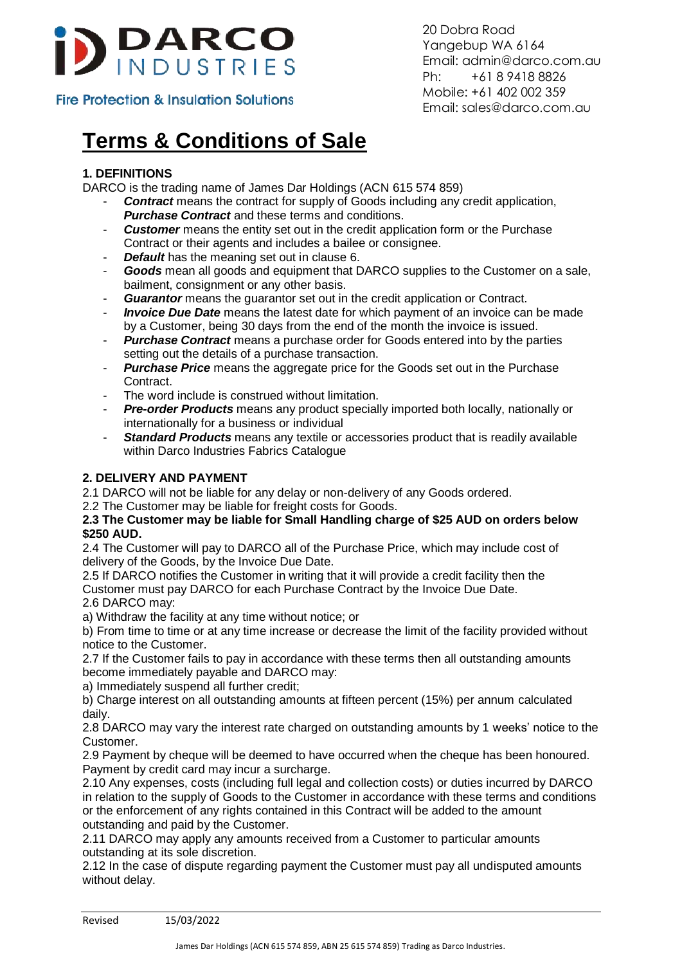

20 Dobra Road Yangebup WA 6164 Email: admin@darco.com.au Ph: +61 8 9418 8826 Mobile: +61 402 002 359 Email: sales@darco.com.au

# **Terms & Conditions of Sale**

# **1. DEFINITIONS**

DARCO is the trading name of James Dar Holdings (ACN 615 574 859)

- **Contract** means the contract for supply of Goods including any credit application, *Purchase Contract* and these terms and conditions.
- **Customer** means the entity set out in the credit application form or the Purchase Contract or their agents and includes a bailee or consignee.
- **Default** has the meaning set out in clause 6.
- *Goods* mean all goods and equipment that DARCO supplies to the Customer on a sale, bailment, consignment or any other basis.
- *Guarantor* means the guarantor set out in the credit application or Contract.
- *Invoice Due Date* means the latest date for which payment of an invoice can be made by a Customer, being 30 days from the end of the month the invoice is issued.
- **Purchase Contract** means a purchase order for Goods entered into by the parties setting out the details of a purchase transaction.
- **Purchase Price** means the aggregate price for the Goods set out in the Purchase Contract.
- The word include is construed without limitation.
- *Pre-order Products* means any product specially imported both locally, nationally or internationally for a business or individual
- **Standard Products** means any textile or accessories product that is readily available within Darco Industries Fabrics Catalogue

## **2. DELIVERY AND PAYMENT**

2.1 DARCO will not be liable for any delay or non-delivery of any Goods ordered.

2.2 The Customer may be liable for freight costs for Goods.

#### **2.3 The Customer may be liable for Small Handling charge of \$25 AUD on orders below \$250 AUD.**

2.4 The Customer will pay to DARCO all of the Purchase Price, which may include cost of delivery of the Goods, by the Invoice Due Date.

2.5 If DARCO notifies the Customer in writing that it will provide a credit facility then the Customer must pay DARCO for each Purchase Contract by the Invoice Due Date. 2.6 DARCO may:

a) Withdraw the facility at any time without notice; or

b) From time to time or at any time increase or decrease the limit of the facility provided without notice to the Customer.

2.7 If the Customer fails to pay in accordance with these terms then all outstanding amounts become immediately payable and DARCO may:

a) Immediately suspend all further credit;

b) Charge interest on all outstanding amounts at fifteen percent (15%) per annum calculated daily.

2.8 DARCO may vary the interest rate charged on outstanding amounts by 1 weeks' notice to the Customer.

2.9 Payment by cheque will be deemed to have occurred when the cheque has been honoured. Payment by credit card may incur a surcharge.

2.10 Any expenses, costs (including full legal and collection costs) or duties incurred by DARCO in relation to the supply of Goods to the Customer in accordance with these terms and conditions or the enforcement of any rights contained in this Contract will be added to the amount outstanding and paid by the Customer.

2.11 DARCO may apply any amounts received from a Customer to particular amounts outstanding at its sole discretion.

2.12 In the case of dispute regarding payment the Customer must pay all undisputed amounts without delay.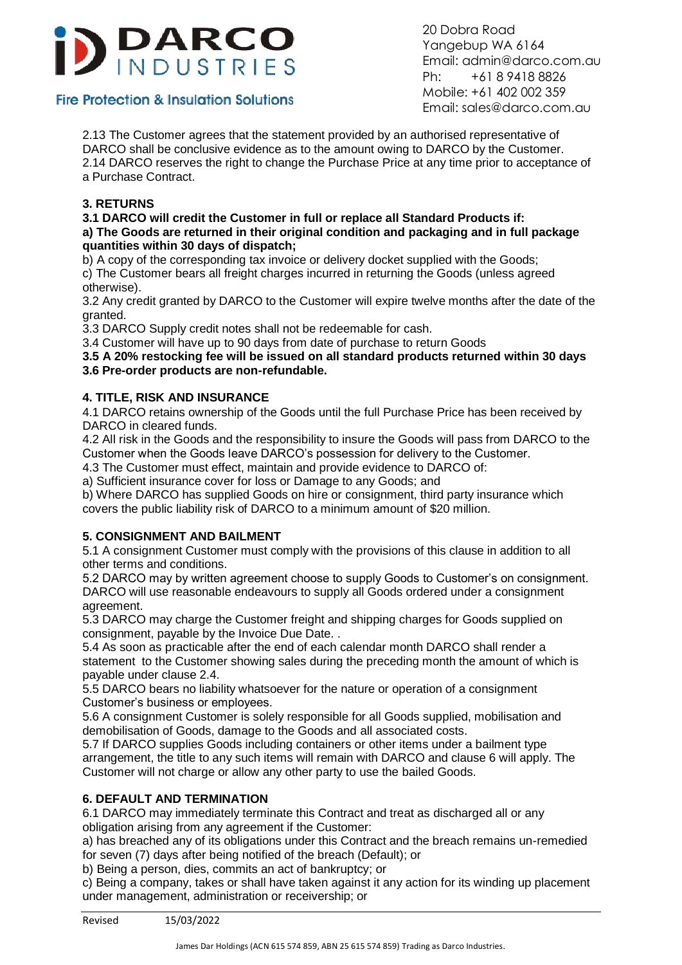

20 Dobra Road Yangebup WA 6164 Email: admin@darco.com.au Ph: +61 8 9418 8826 Mobile: +61 402 002 359 Email: sales@darco.com.au

2.13 The Customer agrees that the statement provided by an authorised representative of DARCO shall be conclusive evidence as to the amount owing to DARCO by the Customer. 2.14 DARCO reserves the right to change the Purchase Price at any time prior to acceptance of a Purchase Contract.

## **3. RETURNS**

#### **3.1 DARCO will credit the Customer in full or replace all Standard Products if: a) The Goods are returned in their original condition and packaging and in full package quantities within 30 days of dispatch;**

b) A copy of the corresponding tax invoice or delivery docket supplied with the Goods;

c) The Customer bears all freight charges incurred in returning the Goods (unless agreed otherwise).

3.2 Any credit granted by DARCO to the Customer will expire twelve months after the date of the granted.

3.3 DARCO Supply credit notes shall not be redeemable for cash.

3.4 Customer will have up to 90 days from date of purchase to return Goods

#### **3.5 A 20% restocking fee will be issued on all standard products returned within 30 days 3.6 Pre-order products are non-refundable.**

## **4. TITLE, RISK AND INSURANCE**

4.1 DARCO retains ownership of the Goods until the full Purchase Price has been received by DARCO in cleared funds.

4.2 All risk in the Goods and the responsibility to insure the Goods will pass from DARCO to the Customer when the Goods leave DARCO's possession for delivery to the Customer.

4.3 The Customer must effect, maintain and provide evidence to DARCO of:

a) Sufficient insurance cover for loss or Damage to any Goods; and

b) Where DARCO has supplied Goods on hire or consignment, third party insurance which covers the public liability risk of DARCO to a minimum amount of \$20 million.

## **5. CONSIGNMENT AND BAILMENT**

5.1 A consignment Customer must comply with the provisions of this clause in addition to all other terms and conditions.

5.2 DARCO may by written agreement choose to supply Goods to Customer's on consignment. DARCO will use reasonable endeavours to supply all Goods ordered under a consignment agreement.

5.3 DARCO may charge the Customer freight and shipping charges for Goods supplied on consignment, payable by the Invoice Due Date. .

5.4 As soon as practicable after the end of each calendar month DARCO shall render a statement to the Customer showing sales during the preceding month the amount of which is payable under clause 2.4.

5.5 DARCO bears no liability whatsoever for the nature or operation of a consignment Customer's business or employees.

5.6 A consignment Customer is solely responsible for all Goods supplied, mobilisation and demobilisation of Goods, damage to the Goods and all associated costs.

5.7 If DARCO supplies Goods including containers or other items under a bailment type arrangement, the title to any such items will remain with DARCO and clause 6 will apply. The Customer will not charge or allow any other party to use the bailed Goods.

## **6. DEFAULT AND TERMINATION**

6.1 DARCO may immediately terminate this Contract and treat as discharged all or any obligation arising from any agreement if the Customer:

a) has breached any of its obligations under this Contract and the breach remains un-remedied for seven (7) days after being notified of the breach (Default); or

b) Being a person, dies, commits an act of bankruptcy; or

c) Being a company, takes or shall have taken against it any action for its winding up placement under management, administration or receivership; or

Revised 15/03/2022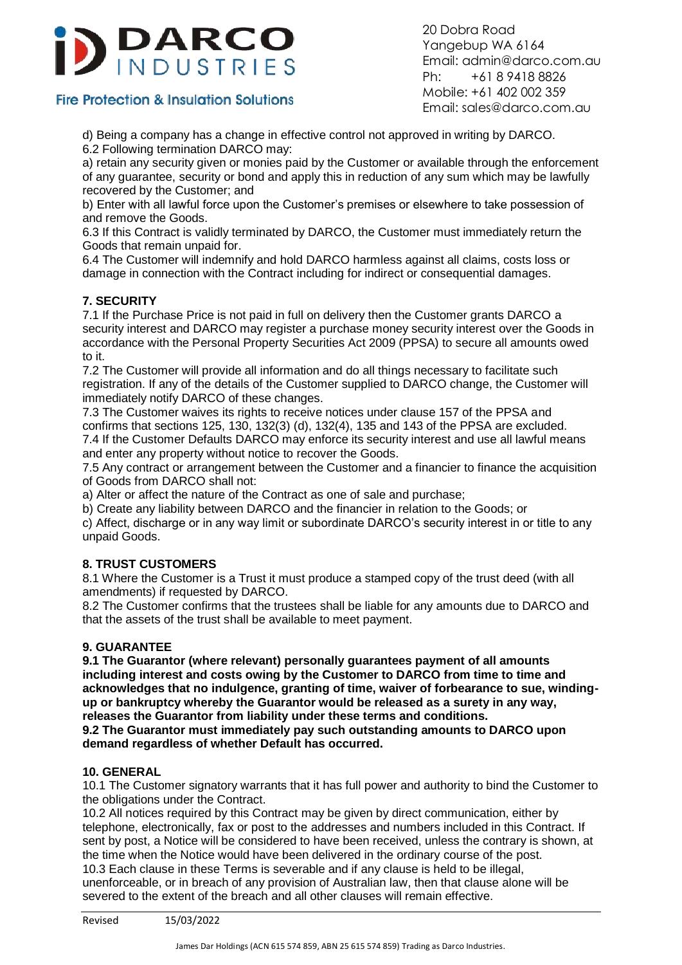

20 Dobra Road Yangebup WA 6164 Email: admin@darco.com.au Ph: +61 8 9418 8826 Mobile: +61 402 002 359 Email: sales@darco.com.au

d) Being a company has a change in effective control not approved in writing by DARCO. 6.2 Following termination DARCO may:

a) retain any security given or monies paid by the Customer or available through the enforcement of any guarantee, security or bond and apply this in reduction of any sum which may be lawfully recovered by the Customer; and

b) Enter with all lawful force upon the Customer's premises or elsewhere to take possession of and remove the Goods.

6.3 If this Contract is validly terminated by DARCO, the Customer must immediately return the Goods that remain unpaid for.

6.4 The Customer will indemnify and hold DARCO harmless against all claims, costs loss or damage in connection with the Contract including for indirect or consequential damages.

## **7. SECURITY**

7.1 If the Purchase Price is not paid in full on delivery then the Customer grants DARCO a security interest and DARCO may register a purchase money security interest over the Goods in accordance with the Personal Property Securities Act 2009 (PPSA) to secure all amounts owed to it.

7.2 The Customer will provide all information and do all things necessary to facilitate such registration. If any of the details of the Customer supplied to DARCO change, the Customer will immediately notify DARCO of these changes.

7.3 The Customer waives its rights to receive notices under clause 157 of the PPSA and confirms that sections 125, 130, 132(3) (d), 132(4), 135 and 143 of the PPSA are excluded. 7.4 If the Customer Defaults DARCO may enforce its security interest and use all lawful means and enter any property without notice to recover the Goods.

7.5 Any contract or arrangement between the Customer and a financier to finance the acquisition of Goods from DARCO shall not:

a) Alter or affect the nature of the Contract as one of sale and purchase;

b) Create any liability between DARCO and the financier in relation to the Goods; or

c) Affect, discharge or in any way limit or subordinate DARCO's security interest in or title to any unpaid Goods.

## **8. TRUST CUSTOMERS**

8.1 Where the Customer is a Trust it must produce a stamped copy of the trust deed (with all amendments) if requested by DARCO.

8.2 The Customer confirms that the trustees shall be liable for any amounts due to DARCO and that the assets of the trust shall be available to meet payment.

#### **9. GUARANTEE**

**9.1 The Guarantor (where relevant) personally guarantees payment of all amounts including interest and costs owing by the Customer to DARCO from time to time and acknowledges that no indulgence, granting of time, waiver of forbearance to sue, windingup or bankruptcy whereby the Guarantor would be released as a surety in any way, releases the Guarantor from liability under these terms and conditions.**

**9.2 The Guarantor must immediately pay such outstanding amounts to DARCO upon demand regardless of whether Default has occurred.**

#### **10. GENERAL**

10.1 The Customer signatory warrants that it has full power and authority to bind the Customer to the obligations under the Contract.

10.2 All notices required by this Contract may be given by direct communication, either by telephone, electronically, fax or post to the addresses and numbers included in this Contract. If sent by post, a Notice will be considered to have been received, unless the contrary is shown, at the time when the Notice would have been delivered in the ordinary course of the post. 10.3 Each clause in these Terms is severable and if any clause is held to be illegal, unenforceable, or in breach of any provision of Australian law, then that clause alone will be severed to the extent of the breach and all other clauses will remain effective.

Revised 15/03/2022